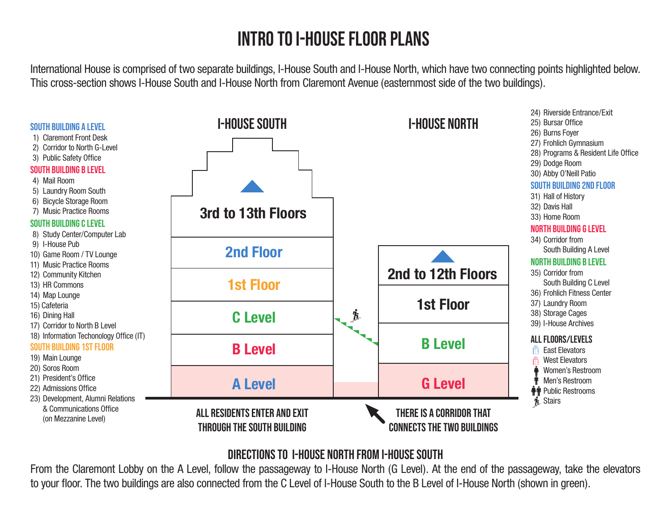## Intro to I-House Floor Plans

International House is comprised of two separate buildings, I-House South and I-House North, which have two connecting points highlighted below. This cross-section shows I-House South and I-House North from Claremont Avenue (easternmost side of the two buildings).



#### directions to i-house north from i-house south

From the Claremont Lobby on the A Level, follow the passageway to I-House North (G Level). At the end of the passageway, take the elevators to your floor. The two buildings are also connected from the C Level of I-House South to the B Level of I-House North (shown in green).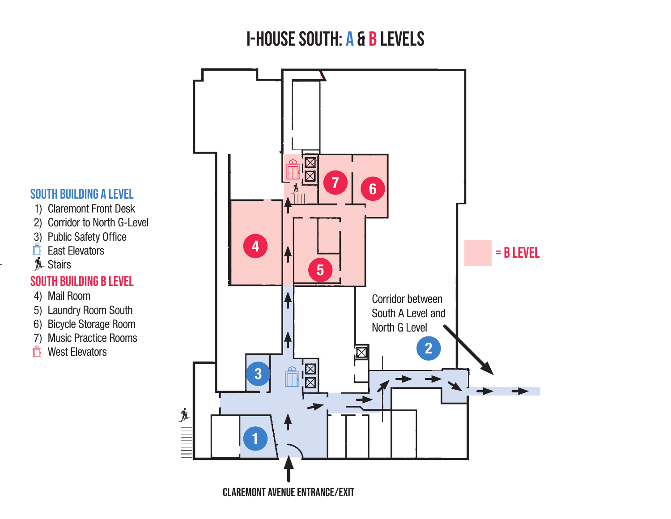## i-house south: A & B levels



#### south Building A Level

- 1) Claremont Front Desk
- 2) Corridor to North G-Level
- 3) Public Safety Office
- ñ East Elevators
- $\boldsymbol{\dot{h}}$ **Stairs**

#### South Building B Level

- 4) Mail Room
- 5) Laundry Room South
- 6) Bicycle Storage Room
- 7) Music Practice Rooms
- ĥ West Elevators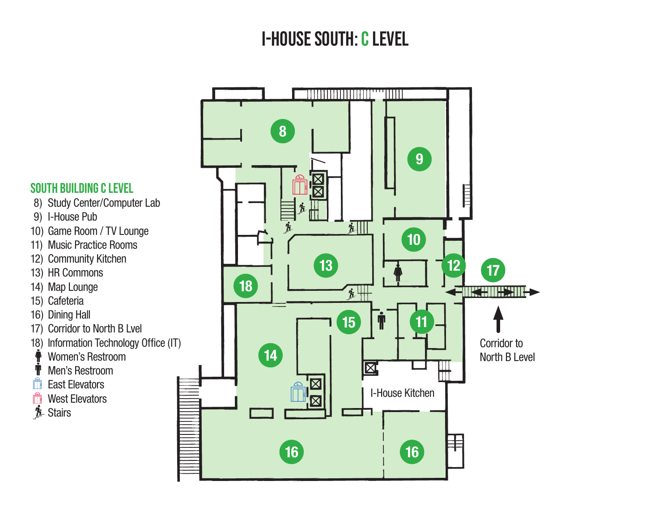## i-house south: c level

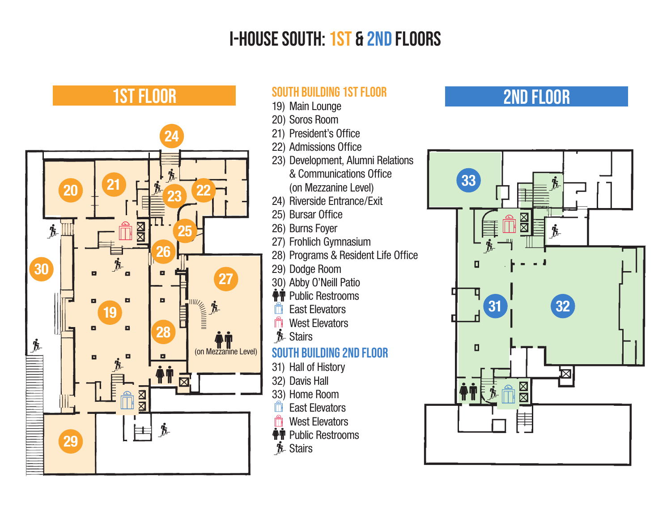## i-house south: 1st & 2nd floors



### **2ND FLOOR**<br>2nd Floor South Building 1st Floor

- 19) Main Lounge
- 20) Soros Room
- 21) President's Office
- 22) Admissions Office
- 23) Development, Alumni Relations & Communications Office (on Mezzanine Level)
- 24) Riverside Entrance/Exit
- 25) Bursar Office
- 26) Burns Foyer
- 27) Frohlich Gymnasium
- 28) Programs & Resident Life Office
- 29) Dodge Room
- 30) Abby O'Neill Patio
- **AT** Public Restrooms
- East Elevators  $\Box$
- ĥ West Elevators
- *f* Stairs

#### South Building 2nd Floor

- 31) Hall of History
- 32) Davis Hall
- 33) Home Room<br> **East Flevator**
- East Elevators
- West Elevators
- **AT** Public Restrooms





*f* Stairs